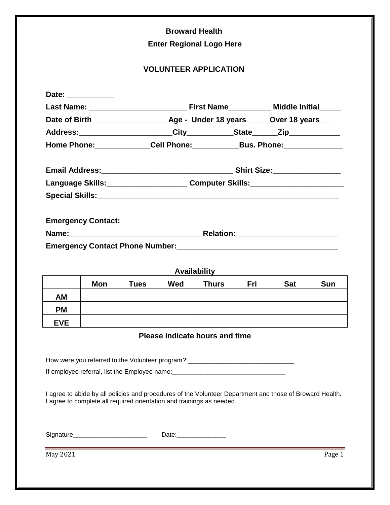|            |                                                                                                                                                                                   |             | <b>Broward Health</b>   | <b>Enter Regional Logo Here</b> |            |            |            |  |
|------------|-----------------------------------------------------------------------------------------------------------------------------------------------------------------------------------|-------------|-------------------------|---------------------------------|------------|------------|------------|--|
|            |                                                                                                                                                                                   |             |                         | <b>VOLUNTEER APPLICATION</b>    |            |            |            |  |
|            | Date: ____________                                                                                                                                                                |             |                         |                                 |            |            |            |  |
|            |                                                                                                                                                                                   |             |                         |                                 |            |            |            |  |
|            |                                                                                                                                                                                   |             |                         |                                 |            |            |            |  |
|            |                                                                                                                                                                                   |             |                         |                                 |            |            |            |  |
|            | Home Phone:______________Cell Phone:______________Bus. Phone:___________________                                                                                                  |             |                         |                                 |            |            |            |  |
|            |                                                                                                                                                                                   |             |                         |                                 |            |            |            |  |
|            |                                                                                                                                                                                   |             |                         |                                 |            |            |            |  |
|            | Language Skills:________________________Computer Skills:________________________                                                                                                  |             |                         |                                 |            |            |            |  |
|            | Special Skills: <u>Department of the Special Skills:</u>                                                                                                                          |             |                         |                                 |            |            |            |  |
|            | <b>Emergency Contact:</b><br>Name: Mame. 2010 12: 2010 12: 2010 12: 2010 12: 2010 12: 2010 12: 2010 12: 2010 12: 2010 12: 2010 12: 2010 12:                                       |             |                         |                                 |            |            |            |  |
|            |                                                                                                                                                                                   |             |                         | Availability                    |            |            |            |  |
|            | Mon                                                                                                                                                                               | <b>Tues</b> | Wed                     | <b>Thurs</b>                    | <b>Fri</b> | <b>Sat</b> | <b>Sun</b> |  |
| <b>AM</b>  |                                                                                                                                                                                   |             |                         |                                 |            |            |            |  |
| <b>PM</b>  |                                                                                                                                                                                   |             |                         |                                 |            |            |            |  |
| <b>EVE</b> |                                                                                                                                                                                   |             |                         |                                 |            |            |            |  |
|            |                                                                                                                                                                                   |             |                         | Please indicate hours and time  |            |            |            |  |
|            | How were you referred to the Volunteer program?: _______________________________                                                                                                  |             |                         |                                 |            |            |            |  |
|            | If employee referral, list the Employee name: __________________________________                                                                                                  |             |                         |                                 |            |            |            |  |
|            |                                                                                                                                                                                   |             |                         |                                 |            |            |            |  |
|            | I agree to abide by all policies and procedures of the Volunteer Department and those of Broward Health.<br>I agree to complete all required orientation and trainings as needed. |             |                         |                                 |            |            |            |  |
|            |                                                                                                                                                                                   |             |                         |                                 |            |            |            |  |
|            | Signature___________________________                                                                                                                                              |             | Date:__________________ |                                 |            |            |            |  |